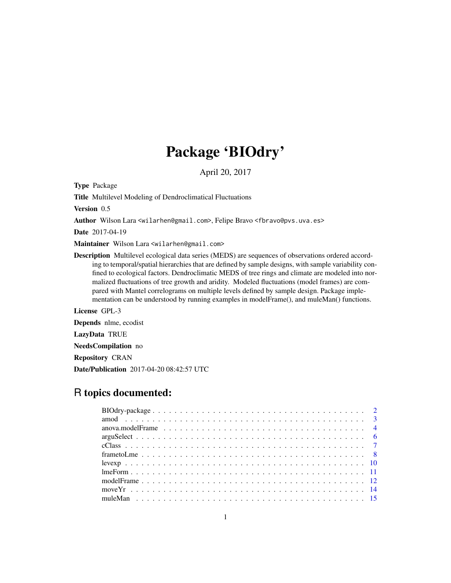# Package 'BIOdry'

April 20, 2017

<span id="page-0-0"></span>Type Package

Title Multilevel Modeling of Dendroclimatical Fluctuations

Version 0.5

Author Wilson Lara <wilarhen@gmail.com>, Felipe Bravo <fbravo@pvs.uva.es>

Date 2017-04-19

Maintainer Wilson Lara <wilarhen@gmail.com>

Description Multilevel ecological data series (MEDS) are sequences of observations ordered according to temporal/spatial hierarchies that are defined by sample designs, with sample variability confined to ecological factors. Dendroclimatic MEDS of tree rings and climate are modeled into normalized fluctuations of tree growth and aridity. Modeled fluctuations (model frames) are compared with Mantel correlograms on multiple levels defined by sample design. Package implementation can be understood by running examples in modelFrame(), and muleMan() functions.

License GPL-3

Depends nlme, ecodist

LazyData TRUE

NeedsCompilation no

Repository CRAN

Date/Publication 2017-04-20 08:42:57 UTC

# R topics documented: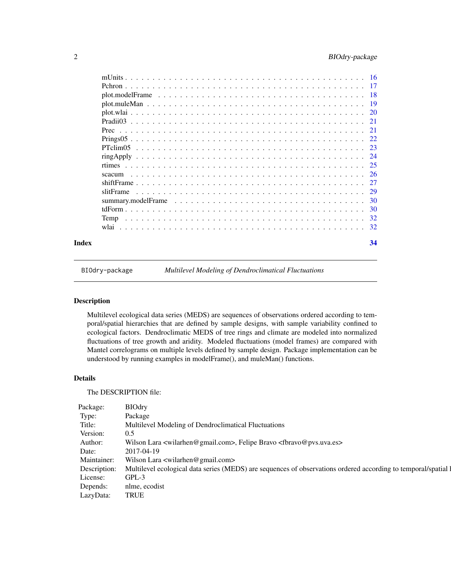<span id="page-1-0"></span>

| Prec      |     |
|-----------|-----|
|           |     |
|           |     |
|           |     |
|           |     |
| scacum    |     |
|           |     |
| slitFrame |     |
|           |     |
|           | -30 |
| Temp      | -32 |
|           | -32 |
| Index     | 34  |

BIOdry-package *Multilevel Modeling of Dendroclimatical Fluctuations*

# Description

Multilevel ecological data series (MEDS) are sequences of observations ordered according to temporal/spatial hierarchies that are defined by sample designs, with sample variability confined to ecological factors. Dendroclimatic MEDS of tree rings and climate are modeled into normalized fluctuations of tree growth and aridity. Modeled fluctuations (model frames) are compared with Mantel correlograms on multiple levels defined by sample design. Package implementation can be understood by running examples in modelFrame(), and muleMan() functions.

# Details

The DESCRIPTION file:

| Package:       | <b>BIOdry</b>                                                                                                               |
|----------------|-----------------------------------------------------------------------------------------------------------------------------|
| Type:          | Package                                                                                                                     |
| Title:         | Multilevel Modeling of Dendroclimatical Fluctuations                                                                        |
| Version: 0.5   |                                                                                                                             |
| Author:        | Wilson Lara <wilarhen@gmail.com>, Felipe Bravo <fbravo@pvs.uva.es></fbravo@pvs.uva.es></wilarhen@gmail.com>                 |
| Date:          | 2017-04-19                                                                                                                  |
|                | Maintainer: Wilson Lara <wilarhen@gmail.com></wilarhen@gmail.com>                                                           |
|                | Description: Multilevel ecological data series (MEDS) are sequences of observations ordered according to temporal/spatial l |
| License: GPL-3 |                                                                                                                             |
|                | Depends: nlme, ecodist                                                                                                      |
| LazyData: TRUE |                                                                                                                             |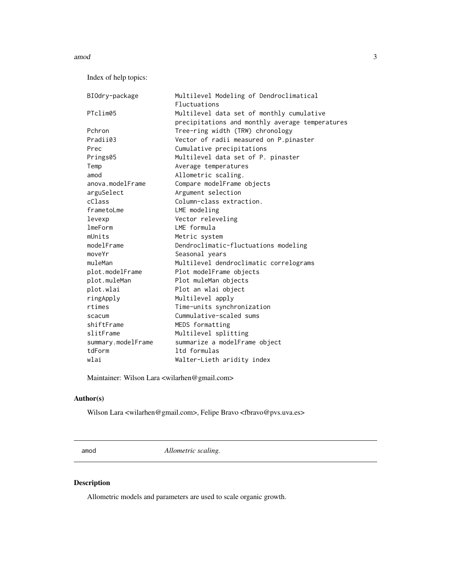#### <span id="page-2-0"></span>amod 3

Index of help topics:

| BIOdry-package     | Multilevel Modeling of Dendroclimatical         |
|--------------------|-------------------------------------------------|
|                    | Fluctuations                                    |
| PTclim05           | Multilevel data set of monthly cumulative       |
|                    | precipitations and monthly average temperatures |
| Pchron             | Tree-ring width (TRW) chronology                |
| Pradii03           | Vector of radii measured on P.pinaster          |
| Prec               | Cumulative precipitations                       |
| Prings05           | Multilevel data set of P. pinaster              |
| Temp               | Average temperatures                            |
| amod               | Allometric scaling.                             |
| anova.modelFrame   | Compare modelFrame objects                      |
| arguSelect         | Argument selection                              |
| cClass             | Column-class extraction.                        |
| frametoLme         | LME modeling                                    |
| levexp             | Vector releveling                               |
| <b>lmeForm</b>     | LME formula                                     |
| mUnits             | Metric system                                   |
| modelFrame         | Dendroclimatic-fluctuations modeling            |
| moveYr             | Seasonal years                                  |
| muleMan            | Multilevel dendroclimatic correlograms          |
| plot.modelFrame    | Plot modelFrame objects                         |
| plot.muleMan       | Plot muleMan objects                            |
| plot.wlai          | Plot an wlai object                             |
| ringApply          | Multilevel apply                                |
| rtimes             | Time-units synchronization                      |
| scacum             | Cummulative-scaled sums                         |
| shiftFrame         | MEDS formatting                                 |
| slitFrame          | Multilevel splitting                            |
| summary.modelFrame | summarize a modelFrame object                   |
| tdForm             | ltd formulas                                    |
| wlai               | Walter-Lieth aridity index                      |
|                    |                                                 |

Maintainer: Wilson Lara <wilarhen@gmail.com>

# Author(s)

Wilson Lara <wilarhen@gmail.com>, Felipe Bravo <fbravo@pvs.uva.es>

<span id="page-2-1"></span>amod *Allometric scaling.*

# Description

Allometric models and parameters are used to scale organic growth.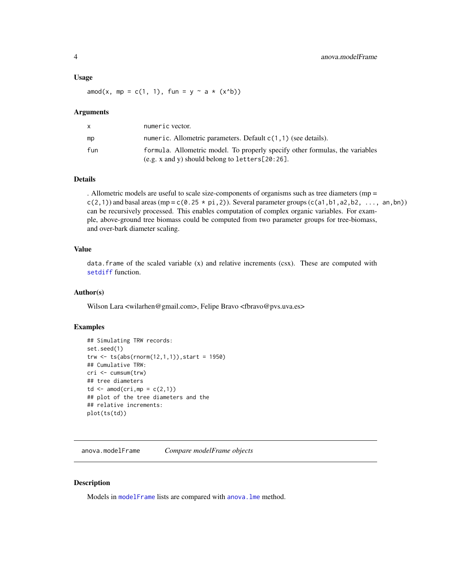# <span id="page-3-0"></span>Usage

amod(x, mp = c(1, 1), fun = y  $\sim$  a  $\star$  (x^b))

#### Arguments

|     | numeric vector.                                                                                                                    |
|-----|------------------------------------------------------------------------------------------------------------------------------------|
| mp  | numeric. Allometric parameters. Default $c(1,1)$ (see details).                                                                    |
| fun | formula. Allometric model. To properly specify other formulas, the variables<br>$(e.g. x and y)$ should belong to letters [20:26]. |

# Details

. Allometric models are useful to scale size-components of organisms such as tree diameters (mp =  $c(2,1)$ ) and basal areas (mp = c(0.25 \* pi,2)). Several parameter groups (c(a1, b1, a2, b2, ..., an, bn)) can be recursively processed. This enables computation of complex organic variables. For example, above-ground tree biomass could be computed from two parameter groups for tree-biomass, and over-bark diameter scaling.

# Value

data.frame of the scaled variable (x) and relative increments (csx). These are computed with [setdiff](#page-0-0) function.

# Author(s)

Wilson Lara <wilarhen@gmail.com>, Felipe Bravo <fbravo@pvs.uva.es>

# Examples

```
## Simulating TRW records:
set.seed(1)
\text{trw} <- \text{ts}(\text{abs}(\text{rnorm}(12,1,1)), \text{start} = 1950)## Cumulative TRW:
cri <- cumsum(trw)
## tree diameters
td \leftarrow \text{amod}(cri, mp = c(2,1))## plot of the tree diameters and the
## relative increments:
plot(ts(td))
```
anova.modelFrame *Compare modelFrame objects*

# Description

Models in [modelFrame](#page-11-1) lists are compared with anova. Ime method.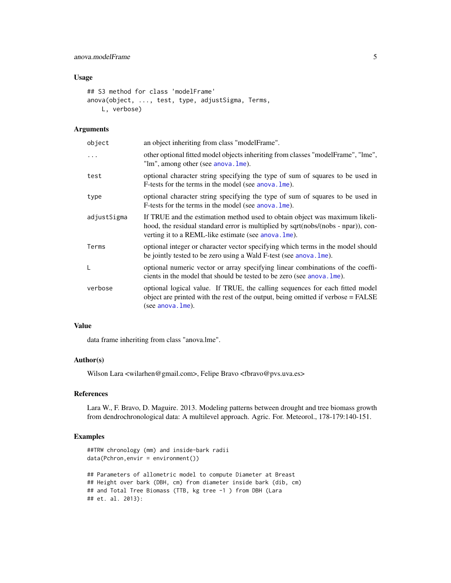# <span id="page-4-0"></span>anova.modelFrame 5

# Usage

```
## S3 method for class 'modelFrame'
anova(object, ..., test, type, adjustSigma, Terms,
   L, verbose)
```
# Arguments

| object      | an object inheriting from class "modelFrame".                                                                                                                                                                            |
|-------------|--------------------------------------------------------------------------------------------------------------------------------------------------------------------------------------------------------------------------|
| $\ddots$    | other optional fitted model objects inheriting from classes "modelFrame", "lme",<br>"lm", among other (see anova. lme).                                                                                                  |
| test        | optional character string specifying the type of sum of squares to be used in<br>F-tests for the terms in the model (see anova. lme).                                                                                    |
| type        | optional character string specifying the type of sum of squares to be used in<br>F-tests for the terms in the model (see anova. lme).                                                                                    |
| adjustSigma | If TRUE and the estimation method used to obtain object was maximum likeli-<br>hood, the residual standard error is multiplied by sqrt(nobs/(nobs - npar)), con-<br>verting it to a REML-like estimate (see anova. lme). |
| Terms       | optional integer or character vector specifying which terms in the model should<br>be jointly tested to be zero using a Wald F-test (see anova. lme).                                                                    |
| L           | optional numeric vector or array specifying linear combinations of the coeffi-<br>cients in the model that should be tested to be zero (see anova. lme).                                                                 |
| verbose     | optional logical value. If TRUE, the calling sequences for each fitted model<br>object are printed with the rest of the output, being omitted if verbose = FALSE<br>(see anova. $1$ me).                                 |
|             |                                                                                                                                                                                                                          |

#### Value

data frame inheriting from class "anova.lme".

# Author(s)

Wilson Lara <wilarhen@gmail.com>, Felipe Bravo <fbravo@pvs.uva.es>

# References

Lara W., F. Bravo, D. Maguire. 2013. Modeling patterns between drought and tree biomass growth from dendrochronological data: A multilevel approach. Agric. For. Meteorol., 178-179:140-151.

```
##TRW chronology (mm) and inside-bark radii
data(Pchron,envir = environment())
## Parameters of allometric model to compute Diameter at Breast
## Height over bark (DBH, cm) from diameter inside bark (dib, cm)
## and Total Tree Biomass (TTB, kg tree -1 ) from DBH (Lara
## et. al. 2013):
```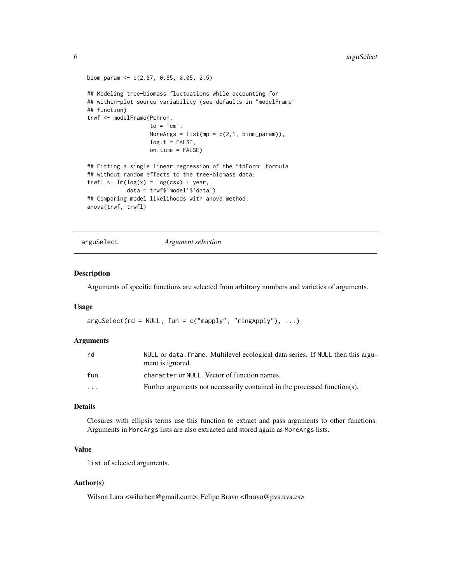```
biom_param <- c(2.87, 0.85, 0.05, 2.5)
## Modeling tree-biomass fluctuations while accounting for
## within-plot source variability (see defaults in "modelFrame"
## function)
trwf <- modelFrame(Pchron,
                   to = \text{'cm'},
                   MoreArgs = list(mp = c(2,1, bin\_param)),log.t = FALSE,on.time = FALSE)
## Fitting a single linear regression of the "tdForm" formula
## without random effects to the tree-biomass data:
trwfl \leq lm(log(x) \sim log(csx) + year,
            data = trwf$'model'$'data')
## Comparing model likelihoods with anova method:
anova(trwf, trwfl)
```
<span id="page-5-1"></span>arguSelect *Argument selection*

#### Description

Arguments of specific functions are selected from arbitrary numbers and varieties of arguments.

#### Usage

```
arguselect(rd = NULL, fun = c("mapping", "ringApply"), ...)
```
#### Arguments

| rd  | NULL or data. frame. Multilevel ecological data series. If NULL then this argu-<br>ment is ignored. |
|-----|-----------------------------------------------------------------------------------------------------|
| fun | character or NULL. Vector of function names.                                                        |
| .   | Further arguments not necessarily contained in the processed function(s).                           |

# Details

Closures with ellipsis terms use this function to extract and pass arguments to other functions. Arguments in MoreArgs lists are also extracted and stored again as MoreArgs lists.

# Value

list of selected arguments.

# Author(s)

Wilson Lara <wilarhen@gmail.com>, Felipe Bravo <fbravo@pvs.uva.es>

<span id="page-5-0"></span>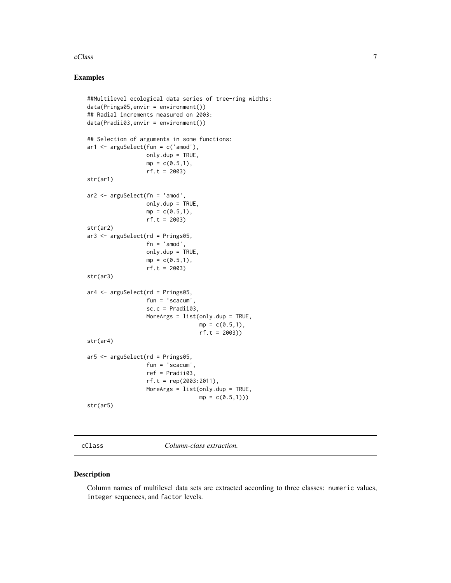#### <span id="page-6-0"></span>cClass **7**

# Examples

```
##Multilevel ecological data series of tree-ring widths:
data(Prings05,envir = environment())
## Radial increments measured on 2003:
data(Pradii03,envir = environment())
## Selection of arguments in some functions:
ar1 \leq arguSelect(fun = c('amod'),
                  only.dup = TRUE,
                  mp = c(0.5, 1),rf.t = 2003)
str(ar1)
ar2 <- arguSelect(fn = 'amod',
                  only.dup = TRUE,mp = c(0.5, 1),rf.t = 2003)
str(ar2)
ar3 <- arguSelect(rd = Prings05,
                  fn = 'amod',only.dup = TRUE,
                  mp = c(0.5, 1),rf.t = 2003)
str(ar3)
ar4 <- arguSelect(rd = Prings05,
                  fun = 'scacum',
                  sc.c = Pradii03,
                  MoreArgs = list(only.dup = TRUE,mp = c(0.5, 1),rf.t = 2003))
str(ar4)
ar5 <- arguSelect(rd = Prings05,
                  fun = 'scacum',
                  ref = Pradii03,
                  rf.t = rep(2003:2011),
                  MoreArgs = list(only.dup = TRUE,
                                  mp = c(0.5,1))str(ar5)
```
cClass *Column-class extraction.*

# Description

Column names of multilevel data sets are extracted according to three classes: numeric values, integer sequences, and factor levels.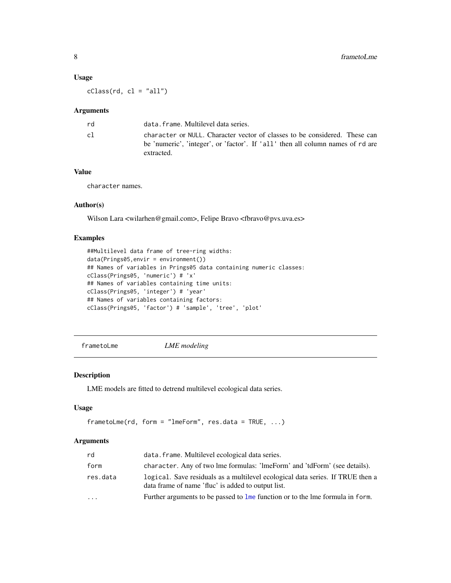# <span id="page-7-0"></span>Usage

 $cClass(rd, cl = "all")$ 

# Arguments

| rd<br>data.frame. Multilevel data series.                                                                                                                                        |  |
|----------------------------------------------------------------------------------------------------------------------------------------------------------------------------------|--|
| character or NULL. Character vector of classes to be considered. These can<br>cl<br>be 'numeric', 'integer', or 'factor'. If 'all' then all column names of rd are<br>extracted. |  |

# Value

character names.

# Author(s)

Wilson Lara <wilarhen@gmail.com>, Felipe Bravo <fbravo@pvs.uva.es>

# Examples

```
##Multilevel data frame of tree-ring widths:
data(Prings05,envir = environment())
## Names of variables in Prings05 data containing numeric classes:
cClass(Prings05, 'numeric') # 'x'
## Names of variables containing time units:
cClass(Prings05, 'integer') # 'year'
## Names of variables containing factors:
cClass(Prings05, 'factor') # 'sample', 'tree', 'plot'
```
<span id="page-7-1"></span>frametoLme *LME modeling*

#### Description

LME models are fitted to detrend multilevel ecological data series.

#### Usage

```
frametoLme(rd, form = "lmeForm", res.data = TRUE, ...)
```
#### Arguments

| rd       | data. frame. Multilevel ecological data series.                                                                                      |
|----------|--------------------------------------------------------------------------------------------------------------------------------------|
| form     | character. Any of two lme formulas: 'ImeForm' and 'tdForm' (see details).                                                            |
| res.data | logical. Save residuals as a multilevel ecological data series. If TRUE then a<br>data frame of name 'fluc' is added to output list. |
| $\cdot$  | Further arguments to be passed to lme function or to the lme formula in form.                                                        |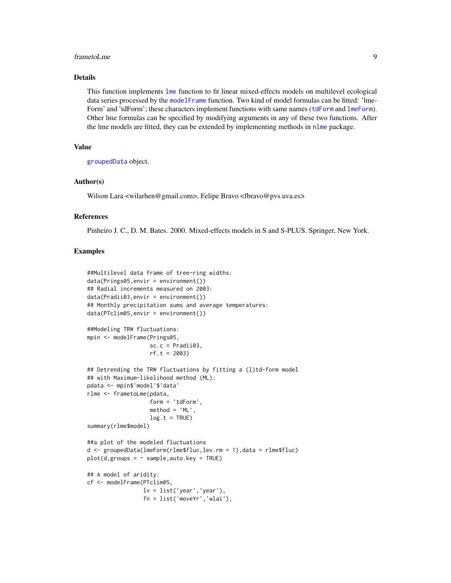#### <span id="page-8-0"></span>frametoLme 9

# Details

This function implements [lme](#page-0-0) function to fit linear mixed-effects models on multilevel ecological data series processed by the [modelFrame](#page-11-1) function. Two kind of model formulas can be fitted: 'lme-Form' and 'tdForm'; these characters implement functions with same names ([tdForm](#page-29-1) and [lmeForm](#page-10-1)). Other lme formulas can be specified by modifying arguments in any of these two functions. After the lme models are fitted, they can be extended by implementing methods in [nlme](#page-0-0) package.

#### Value

[groupedData](#page-0-0) object.

#### Author(s)

Wilson Lara <wilarhen@gmail.com>, Felipe Bravo <fbravo@pvs.uva.es>

#### References

Pinheiro J. C., D. M. Bates. 2000. Mixed-effects models in S and S-PLUS. Springer, New York.

```
##Multilevel data frame of tree-ring widths:
data(Prings05,envir = environment())
## Radial increments measured on 2003:
data(Pradii03,envir = environment())
## Monthly precipitation sums and average temperatures:
data(PTclim05,envir = environment())
##Modeling TRW fluctuations:
mpin <- modelFrame(Prings05,
                   sc.c = Pradii03,
                   rf.t = 2003)
## Detrending the TRW fluctuations by fitting a (l)td-form model
## with Maximum-likelihood method (ML):
pdata <- mpin$'model'$'data'
rlme <- frametoLme(pdata,
                   form = 'tdForm',
                   method = 'ML',log.t = TRUE)
summary(rlme$model)
##a plot of the modeled fluctuations
d <- groupedData(lmeForm(rlme$fluc,lev.rm = 1),data = rlme$fluc)
plot(d,groups = ~ sample, auto.key = TRUE)## A model of aridity:
cf <- modelFrame(PTclim05,
                 lv = list('year', 'year'),fn = list('moveYr','wlai'),
```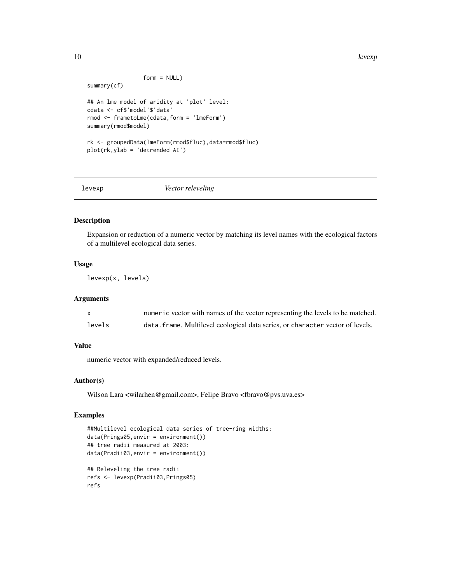```
form = NULL)
summary(cf)
## An lme model of aridity at 'plot' level:
cdata <- cf$'model'$'data'
rmod <- frametoLme(cdata,form = 'lmeForm')
summary(rmod$model)
rk <- groupedData(lmeForm(rmod$fluc),data=rmod$fluc)
plot(rk,ylab = 'detrended AI')
```
levexp *Vector releveling*

#### Description

Expansion or reduction of a numeric vector by matching its level names with the ecological factors of a multilevel ecological data series.

#### Usage

levexp(x, levels)

# Arguments

| X      | numeric vector with names of the vector representing the levels to be matched. |
|--------|--------------------------------------------------------------------------------|
| levels | data. frame. Multilevel ecological data series, or character vector of levels. |

# Value

numeric vector with expanded/reduced levels.

# Author(s)

Wilson Lara <wilarhen@gmail.com>, Felipe Bravo <fbravo@pvs.uva.es>

```
##Multilevel ecological data series of tree-ring widths:
data(Prings05,envir = environment())
## tree radii measured at 2003:
data(Pradii03,envir = environment())
## Releveling the tree radii
refs <- levexp(Pradii03,Prings05)
refs
```
<span id="page-9-0"></span>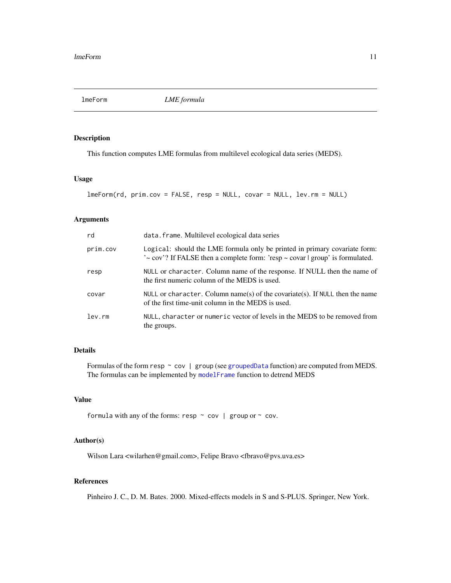<span id="page-10-1"></span><span id="page-10-0"></span>lmeForm *LME formula*

# Description

This function computes LME formulas from multilevel ecological data series (MEDS).

# Usage

```
lmeForm(rd, prim.cov = FALSE, resp = NULL, covar = NULL, lev.rm = NULL)
```
# Arguments

| rd       | data.frame. Multilevel ecological data series                                                                                                                             |
|----------|---------------------------------------------------------------------------------------------------------------------------------------------------------------------------|
| prim.cov | Logical: should the LME formula only be printed in primary covariate form:<br>$\sim$ cov'? If FALSE then a complete form: 'resp $\sim$ covar $\mid$ group' is formulated. |
| resp     | NULL or character. Column name of the response. If NULL then the name of<br>the first numeric column of the MEDS is used.                                                 |
| covar    | NULL or character. Column name(s) of the covariate(s). If NULL then the name<br>of the first time-unit column in the MEDS is used.                                        |
| lev.rm   | NULL, character or numeric vector of levels in the MEDS to be removed from<br>the groups.                                                                                 |

# Details

Formulas of the form resp  $\sim$  cov | group (see [groupedData](#page-0-0) function) are computed from MEDS. The formulas can be implemented by [modelFrame](#page-11-1) function to detrend MEDS

# Value

```
formula with any of the forms: resp \sim cov | group or \sim cov.
```
# Author(s)

Wilson Lara <wilarhen@gmail.com>, Felipe Bravo <fbravo@pvs.uva.es>

# References

Pinheiro J. C., D. M. Bates. 2000. Mixed-effects models in S and S-PLUS. Springer, New York.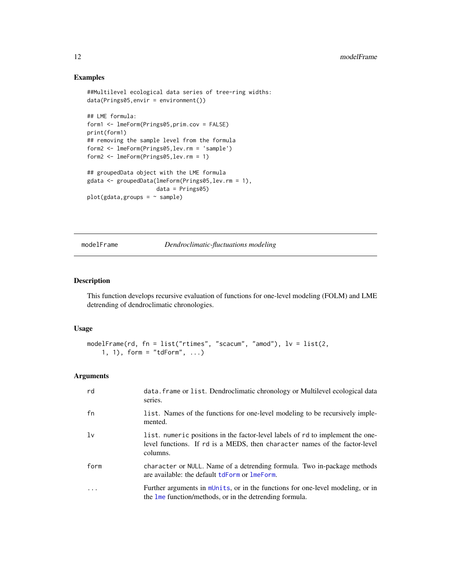# Examples

```
##Multilevel ecological data series of tree-ring widths:
data(Prings05,envir = environment())
## LME formula:
form1 <- lmeForm(Prings05,prim.cov = FALSE)
print(form1)
## removing the sample level from the formula
form2 <- lmeForm(Prings05,lev.rm = 'sample')
form2 <- lmeForm(Prings05,lev.rm = 1)
## groupedData object with the LME formula
gdata <- groupedData(lmeForm(Prings05,lev.rm = 1),
                    data = Prings05)
plot(gdata,groups = ~ sample)
```
<span id="page-11-1"></span>modelFrame *Dendroclimatic-fluctuations modeling*

# Description

This function develops recursive evaluation of functions for one-level modeling (FOLM) and LME detrending of dendroclimatic chronologies.

# Usage

```
modelFrame(rd, fn = list("rtimes", "scacum", "amod"), lv = list(2,
    1, 1), form = "tdForm", \ldots)
```
# Arguments

| rd        | data. frame or list. Dendroclimatic chronology or Multilevel ecological data<br>series.                                                                                  |
|-----------|--------------------------------------------------------------------------------------------------------------------------------------------------------------------------|
| fn        | list. Names of the functions for one-level modeling to be recursively imple-<br>mented.                                                                                  |
| lv        | list. numeric positions in the factor-level labels of rd to implement the one-<br>level functions. If rd is a MEDS, then character names of the factor-level<br>columns. |
| form      | character or NULL. Name of a detrending formula. Two in-package methods<br>are available: the default tdForm or lmeForm.                                                 |
| $\ddotsc$ | Further arguments in $mUnits$ , or in the functions for one-level modeling, or in<br>the lme function/methods, or in the detrending formula.                             |

<span id="page-11-0"></span>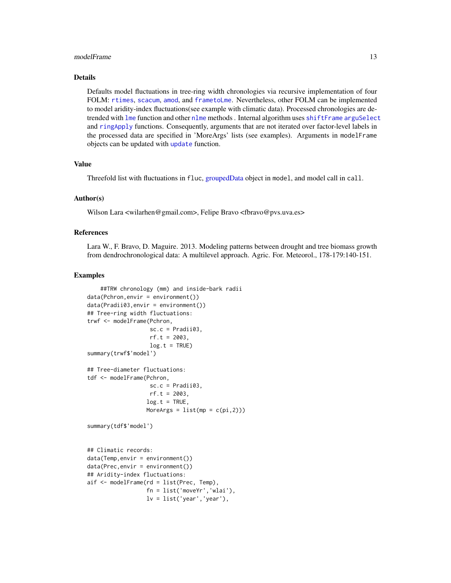#### <span id="page-12-0"></span>modelFrame 13

# Details

Defaults model fluctuations in tree-ring width chronologies via recursive implementation of four FOLM: [rtimes](#page-24-1), [scacum](#page-25-1), [amod](#page-2-1), and [frametoLme](#page-7-1). Nevertheless, other FOLM can be implemented to model aridity-index fluctuations(see example with climatic data). Processed chronologies are detrended with [lme](#page-0-0) function and other [nlme](#page-0-0) methods. Internal algorithm uses [shiftFrame](#page-26-1) [arguSelect](#page-5-1) and [ringApply](#page-23-1) functions. Consequently, arguments that are not iterated over factor-level labels in the processed data are specified in 'MoreArgs' lists (see examples). Arguments in modelFrame objects can be updated with [update](#page-0-0) function.

#### Value

Threefold list with fluctuations in fluc, [groupedData](#page-0-0) object in model, and model call in call.

#### Author(s)

Wilson Lara <wilarhen@gmail.com>, Felipe Bravo <fbravo@pvs.uva.es>

# References

Lara W., F. Bravo, D. Maguire. 2013. Modeling patterns between drought and tree biomass growth from dendrochronological data: A multilevel approach. Agric. For. Meteorol., 178-179:140-151.

```
##TRW chronology (mm) and inside-bark radii
data(Pchron, envir = environment())data(Pradii03,envir = environment())
## Tree-ring width fluctuations:
trwf <- modelFrame(Pchron,
                   sc.c = Pradii03,
                   rf.t = 2003,
                   log.t = TRUE)
summary(trwf$'model')
## Tree-diameter fluctuations:
tdf <- modelFrame(Pchron,
                  sc.c = Pradii03,
                  rf.t = 2003,
                  log.t = TRUE,MoreArgs = list(mp = c(pi,2)))summary(tdf$'model')
## Climatic records:
data(Temp,envir = environment())
data(Prec,envir = environment())
## Aridity-index fluctuations:
aif <- modelFrame(rd = list(Prec, Temp),
                  fn = list('moveYr','wlai'),
                  lv = list('year','year'),
```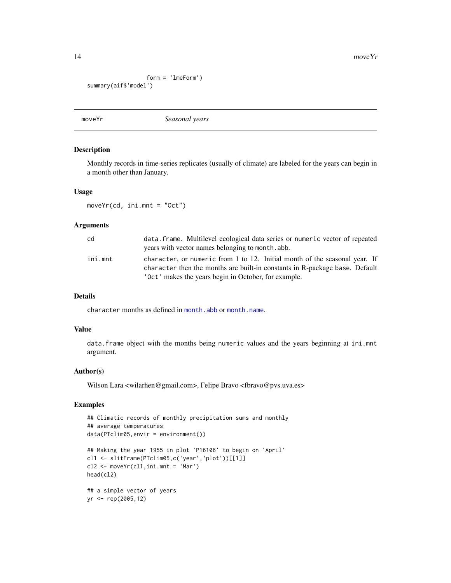<span id="page-13-0"></span>14 move Yr

```
form = 'lmeForm')
summary(aif$'model')
```
moveYr *Seasonal years*

# Description

Monthly records in time-series replicates (usually of climate) are labeled for the years can begin in a month other than January.

#### Usage

moveYr(cd, ini.mnt = "Oct")

#### Arguments

| cd      | data. frame. Multilevel ecological data series or numeric vector of repeated<br>years with vector names belonging to month, abb.                                                                                  |
|---------|-------------------------------------------------------------------------------------------------------------------------------------------------------------------------------------------------------------------|
| ini.mnt | character, or numeric from 1 to 12. Initial month of the seasonal year. If<br>character then the months are built-in constants in R-package base. Default<br>'Oct' makes the years begin in October, for example. |

# Details

character months as defined in [month.abb](#page-0-0) or [month.name](#page-0-0).

# Value

data.frame object with the months being numeric values and the years beginning at ini.mnt argument.

# Author(s)

Wilson Lara <wilarhen@gmail.com>, Felipe Bravo <fbravo@pvs.uva.es>

```
## Climatic records of monthly precipitation sums and monthly
## average temperatures
data(PTclim05,envir = environment())
## Making the year 1955 in plot 'P16106' to begin on 'April'
cl1 <- slitFrame(PTclim05,c('year','plot'))[[1]]
cl2 \leq moveYr(cl1,ini.mnt = 'Mar')head(cl2)
## a simple vector of years
yr <- rep(2005,12)
```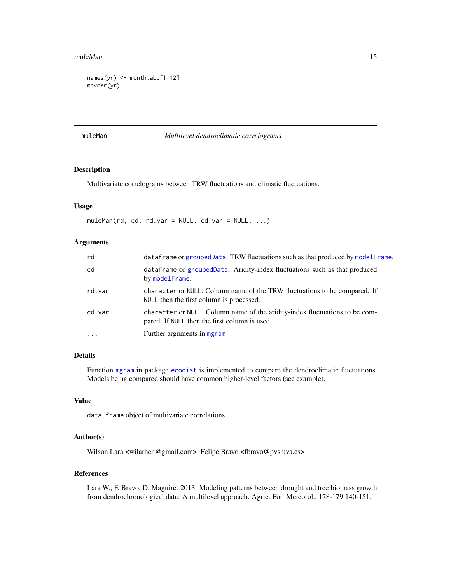#### <span id="page-14-0"></span> $m$ uleMan  $15$

```
names(yr) <- month.abb[1:12]
moveYr(yr)
```
#### <span id="page-14-1"></span>muleMan *Multilevel dendroclimatic correlograms*

# Description

Multivariate correlograms between TRW fluctuations and climatic fluctuations.

# Usage

 $muleMan(rd, cd, rd.var = NULL, cd.var = NULL, ...)$ 

# Arguments

| rd         | dataframe or grouped Data. TRW fluctuations such as that produced by model Frame.                                            |
|------------|------------------------------------------------------------------------------------------------------------------------------|
| cd         | dataframe or grouped Data. Aridity-index fluctuations such as that produced<br>by modelFrame.                                |
| rd.var     | character or NULL. Column name of the TRW fluctuations to be compared. If<br>NULL then the first column is processed.        |
| cd.var     | character or NULL. Column name of the aridity-index fluctuations to be com-<br>pared. If NULL then the first column is used. |
| $\ddots$ . | Further arguments in mgram                                                                                                   |

# Details

Function [mgram](#page-0-0) in package [ecodist](#page-0-0) is implemented to compare the dendroclimatic fluctuations. Models being compared should have common higher-level factors (see example).

# Value

data.frame object of multivariate correlations.

# Author(s)

Wilson Lara <wilarhen@gmail.com>, Felipe Bravo <fbravo@pvs.uva.es>

# References

Lara W., F. Bravo, D. Maguire. 2013. Modeling patterns between drought and tree biomass growth from dendrochronological data: A multilevel approach. Agric. For. Meteorol., 178-179:140-151.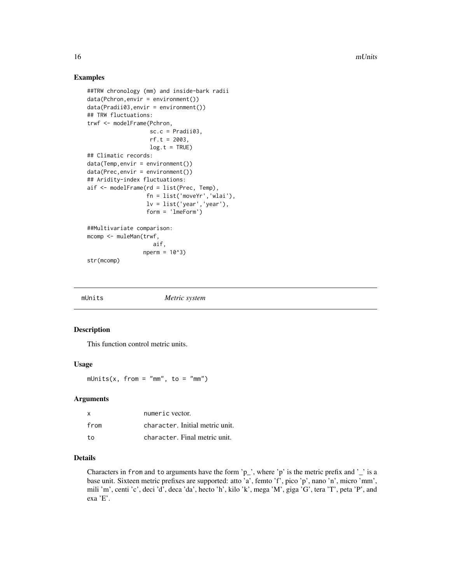#### Examples

```
##TRW chronology (mm) and inside-bark radii
data(Pchron, envir = environment())data(Pradii03,envir = environment())
## TRW fluctuations:
trwf <- modelFrame(Pchron,
                   sc.c = Pradii03,rf.t = 2003,
                   log.t = TRUE)
## Climatic records:
data(Temp, envir = environment())data(Prec,envir = environment())
## Aridity-index fluctuations:
aif <- modelFrame(rd = list(Prec, Temp),
                  fn = list('moveYr','wlai'),
                  lv = list('year', 'year'),form = 'lmeForm')
##Multivariate comparison:
mcomp <- muleMan(trwf,
                    aif,
                 nperm = 10^3)str(mcomp)
```
<span id="page-15-1"></span>mUnits *Metric system*

#### Description

This function control metric units.

#### Usage

mUnits(x, from = "mm", to = "mm")

# Arguments

| X    | numeric vector.                 |
|------|---------------------------------|
| from | character. Initial metric unit. |
| to   | character. Final metric unit.   |

# Details

Characters in from and to arguments have the form 'p\_', where 'p' is the metric prefix and '\_' is a base unit. Sixteen metric prefixes are supported: atto 'a', femto 'f', pico 'p', nano 'n', micro 'mm', mili 'm', centi 'c', deci 'd', deca 'da', hecto 'h', kilo 'k', mega 'M', giga 'G', tera 'T', peta 'P', and exa 'E'.

<span id="page-15-0"></span>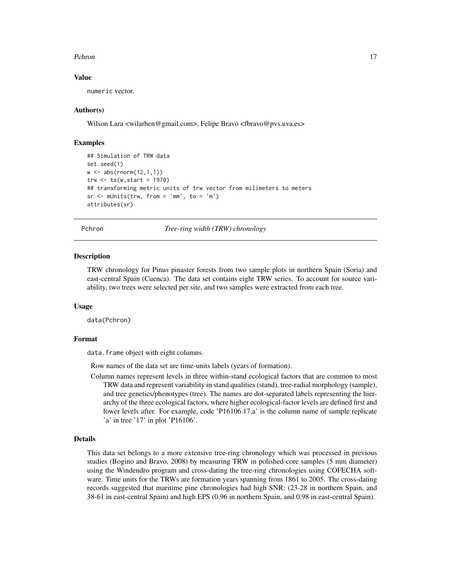#### <span id="page-16-0"></span>Pchron 2008 and 2008 and 2008 and 2008 and 2008 and 2008 and 2008 and 2008 and 2008 and 2008 and 2008 and 2008  $\pm 17$

#### Value

numeric vector.

#### Author(s)

Wilson Lara <wilarhen@gmail.com>, Felipe Bravo <fbravo@pvs.uva.es>

#### Examples

```
## Simulation of TRW data
set.seed(1)
w \le - abs(rnorm(12,1,1))
trw \leq ts(w, start = 1970)
## transforming metric units of trw vector from milimeters to meters
sr \leq -mUnits(trw, from = 'mm', to = 'm')attributes(sr)
```
Pchron *Tree-ring width (TRW) chronology*

#### **Description**

TRW chronology for Pinus pinaster forests from two sample plots in northern Spain (Soria) and east-central Spain (Cuenca). The data set contains eight TRW series. To account for source variability, two trees were selected per site, and two samples were extracted from each tree.

#### Usage

data(Pchron)

#### Format

data. frame object with eight columns.

Row names of the data set are time-units labels (years of formation).

Column names represent levels in three within-stand ecological factors that are common to most TRW data and represent variability in stand qualities (stand), tree-radial morphology (sample), and tree genetics/phenotypes (tree). The names are dot-separated labels representing the hierarchy of the three ecological factors, where higher ecological-factor levels are defined first and lower levels after. For example, code 'P16106.17.a' is the column name of sample replicate 'a' in tree '17' in plot 'P16106'.

#### Details

This data set belongs to a more extensive tree-ring chronology which was processed in previous studies (Bogino and Bravo, 2008) by measuring TRW in polished-core samples (5 mm diameter) using the Windendro program and cross-dating the tree-ring chronologies using COFECHA software. Time units for the TRWs are formation years spanning from 1861 to 2005. The cross-dating records suggested that maritime pine chronologies had high SNR: (23-28 in northern Spain, and 38-61 in east-central Spain) and high EPS (0.96 in northern Spain, and 0.98 in east-central Spain).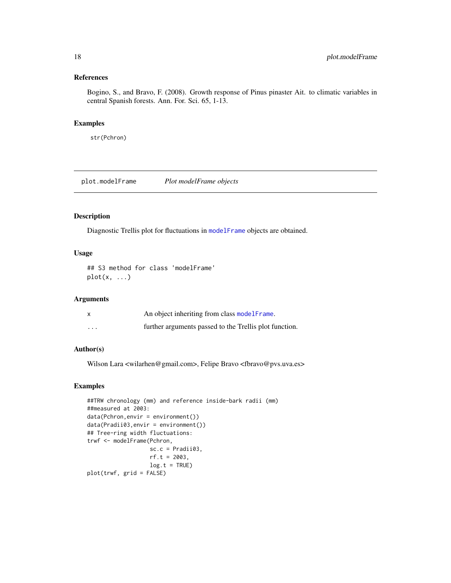# <span id="page-17-0"></span>References

Bogino, S., and Bravo, F. (2008). Growth response of Pinus pinaster Ait. to climatic variables in central Spanish forests. Ann. For. Sci. 65, 1-13.

# Examples

str(Pchron)

plot.modelFrame *Plot modelFrame objects*

# Description

Diagnostic Trellis plot for fluctuations in [modelFrame](#page-11-1) objects are obtained.

# Usage

## S3 method for class 'modelFrame'  $plot(x, \ldots)$ 

# Arguments

|                         | An object inheriting from class model Frame.           |
|-------------------------|--------------------------------------------------------|
| $\cdot$ $\cdot$ $\cdot$ | further arguments passed to the Trellis plot function. |

# Author(s)

Wilson Lara <wilarhen@gmail.com>, Felipe Bravo <fbravo@pvs.uva.es>

```
##TRW chronology (mm) and reference inside-bark radii (mm)
##measured at 2003:
data(Pchron,envir = environment())
data(Pradii03,envir = environment())
## Tree-ring width fluctuations:
trwf <- modelFrame(Pchron,
                  sc.c = Pradii03,rf.t = 2003,
                  log.t = TRUE)
plot(trwf, grid = FALSE)
```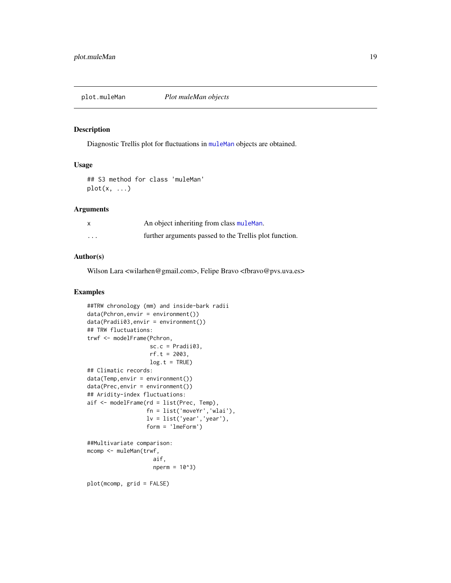<span id="page-18-0"></span>

# Description

Diagnostic Trellis plot for fluctuations in [muleMan](#page-14-1) objects are obtained.

#### Usage

## S3 method for class 'muleMan'  $plot(x, \ldots)$ 

#### Arguments

|          | An object inheriting from class muleMan.               |
|----------|--------------------------------------------------------|
| $\cdots$ | further arguments passed to the Trellis plot function. |

#### Author(s)

Wilson Lara <wilarhen@gmail.com>, Felipe Bravo <fbravo@pvs.uva.es>

```
##TRW chronology (mm) and inside-bark radii
data(Pchron,envir = environment())
data(Pradii03,envir = environment())
## TRW fluctuations:
trwf <- modelFrame(Pchron,
                   sc.c = Pradii03,
                   rf.t = 2003,
                   log.t = TRUE)
## Climatic records:
data(Temp, envir = environment())data(Prec, envir = environment())## Aridity-index fluctuations:
aif <- modelFrame(rd = list(Prec, Temp),
                  fn = list('moveYr','wlai'),
                  lv = list('year','year'),
                  form = 'lmeForm')
##Multivariate comparison:
mcomp <- muleMan(trwf,
                    aif,
                    nperm = 10^3)plot(mcomp, grid = FALSE)
```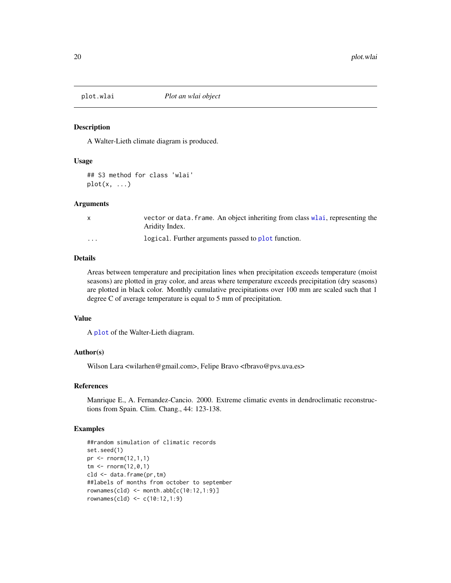<span id="page-19-0"></span>

#### Description

A Walter-Lieth climate diagram is produced.

#### Usage

```
## S3 method for class 'wlai'
plot(x, \ldots)
```
#### Arguments

|          | vector or data. frame. An object inheriting from class wlai, representing the<br>Aridity Index. |
|----------|-------------------------------------------------------------------------------------------------|
| $\cdots$ | logical. Further arguments passed to plot function.                                             |

# Details

Areas between temperature and precipitation lines when precipitation exceeds temperature (moist seasons) are plotted in gray color, and areas where temperature exceeds precipitation (dry seasons) are plotted in black color. Monthly cumulative precipitations over 100 mm are scaled such that 1 degree C of average temperature is equal to 5 mm of precipitation.

#### Value

A [plot](#page-0-0) of the Walter-Lieth diagram.

# Author(s)

Wilson Lara <wilarhen@gmail.com>, Felipe Bravo <fbravo@pvs.uva.es>

#### References

Manrique E., A. Fernandez-Cancio. 2000. Extreme climatic events in dendroclimatic reconstructions from Spain. Clim. Chang., 44: 123-138.

```
##random simulation of climatic records
set.seed(1)
pr <- rnorm(12,1,1)
tm < -rnorm(12, 0, 1)cld <- data.frame(pr,tm)
##labels of months from october to september
rownames(cld) \leftarrow month.abb[c(10:12,1:9)]rownames(cld) <- c(10:12,1:9)
```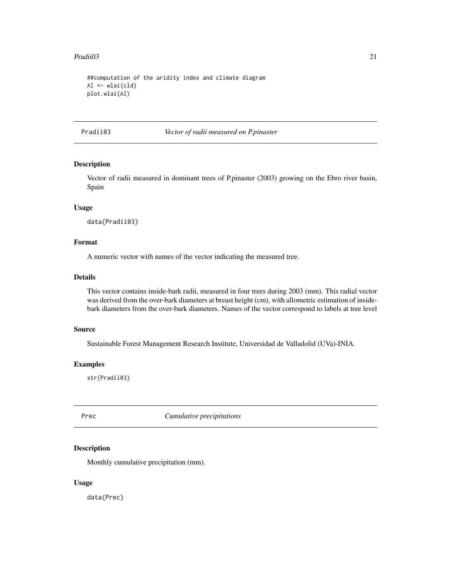#### <span id="page-20-0"></span>Pradii03 21

```
##computation of the aridity index and climate diagram
AI <- wlai(cld)
plot.wlai(AI)
```
Pradii03 *Vector of radii measured on P.pinaster*

# Description

Vector of radii measured in dominant trees of P.pinaster (2003) growing on the Ebro river basin, Spain

#### Usage

data(Pradii03)

# Format

A numeric vector with names of the vector indicating the measured tree.

#### Details

This vector contains inside-bark radii, measured in four trees during 2003 (mm). This radial vector was derived from the over-bark diameters at breast height (cm), with allometric estimation of insidebark diameters from the over-bark diameters. Names of the vector correspond to labels at tree level

# Source

Sustainable Forest Management Research Institute, Universidad de Valladolid (UVa)-INIA.

# Examples

str(Pradii03)

Prec *Cumulative precipitations*

#### Description

Monthly cumulative precipitation (mm).

#### Usage

data(Prec)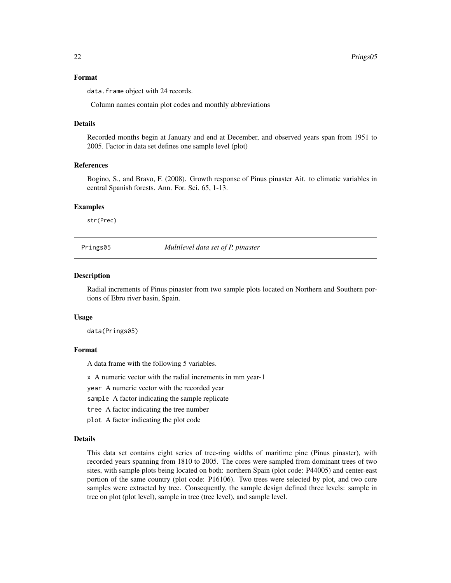#### <span id="page-21-0"></span>Format

data.frame object with 24 records.

Column names contain plot codes and monthly abbreviations

#### Details

Recorded months begin at January and end at December, and observed years span from 1951 to 2005. Factor in data set defines one sample level (plot)

# References

Bogino, S., and Bravo, F. (2008). Growth response of Pinus pinaster Ait. to climatic variables in central Spanish forests. Ann. For. Sci. 65, 1-13.

#### Examples

str(Prec)

Prings05 *Multilevel data set of P. pinaster*

#### Description

Radial increments of Pinus pinaster from two sample plots located on Northern and Southern portions of Ebro river basin, Spain.

#### Usage

data(Prings05)

#### Format

A data frame with the following 5 variables.

x A numeric vector with the radial increments in mm year-1

year A numeric vector with the recorded year

sample A factor indicating the sample replicate

tree A factor indicating the tree number

plot A factor indicating the plot code

#### Details

This data set contains eight series of tree-ring widths of maritime pine (Pinus pinaster), with recorded years spanning from 1810 to 2005. The cores were sampled from dominant trees of two sites, with sample plots being located on both: northern Spain (plot code: P44005) and center-east portion of the same country (plot code: P16106). Two trees were selected by plot, and two core samples were extracted by tree. Consequently, the sample design defined three levels: sample in tree on plot (plot level), sample in tree (tree level), and sample level.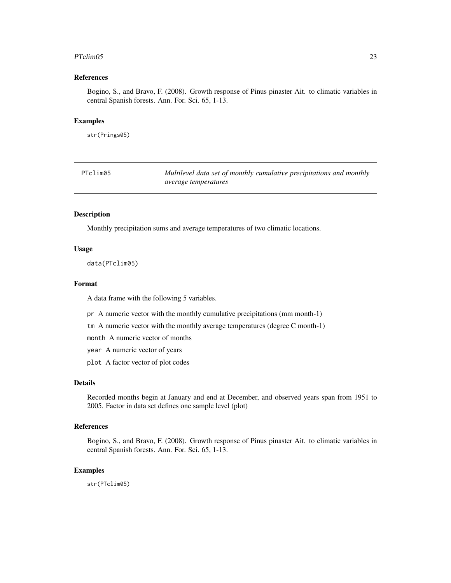#### <span id="page-22-0"></span> $P Tclim05$  23

#### References

Bogino, S., and Bravo, F. (2008). Growth response of Pinus pinaster Ait. to climatic variables in central Spanish forests. Ann. For. Sci. 65, 1-13.

# Examples

str(Prings05)

| PTclim05 | Multilevel data set of monthly cumulative precipitations and monthly |
|----------|----------------------------------------------------------------------|
|          | average temperatures                                                 |

# Description

Monthly precipitation sums and average temperatures of two climatic locations.

#### Usage

data(PTclim05)

# Format

A data frame with the following 5 variables.

- pr A numeric vector with the monthly cumulative precipitations (mm month-1)
- tm A numeric vector with the monthly average temperatures (degree C month-1)

month A numeric vector of months

- year A numeric vector of years
- plot A factor vector of plot codes

#### Details

Recorded months begin at January and end at December, and observed years span from 1951 to 2005. Factor in data set defines one sample level (plot)

# References

Bogino, S., and Bravo, F. (2008). Growth response of Pinus pinaster Ait. to climatic variables in central Spanish forests. Ann. For. Sci. 65, 1-13.

# Examples

str(PTclim05)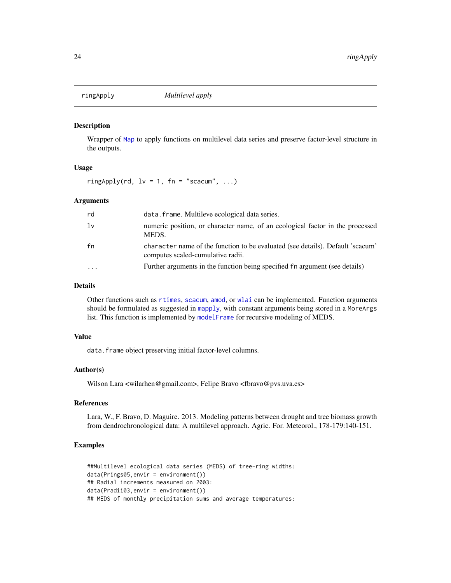<span id="page-23-1"></span><span id="page-23-0"></span>

#### Description

Wrapper of [Map](#page-0-0) to apply functions on multilevel data series and preserve factor-level structure in the outputs.

#### Usage

 $ringApply (rd, 1v = 1, fn = "scacum", ...)$ 

# Arguments

| rd        | data. frame. Multileve ecological data series.                                                                      |
|-----------|---------------------------------------------------------------------------------------------------------------------|
| lv        | numeric position, or character name, of an ecological factor in the processed<br>MEDS.                              |
| fn        | character name of the function to be evaluated (see details). Default 'scacum'<br>computes scaled-cumulative radii. |
| $\ddotsc$ | Further arguments in the function being specified fn argument (see details)                                         |

#### Details

Other functions such as [rtimes](#page-24-1), [scacum](#page-25-1), [amod](#page-2-1), or [wlai](#page-31-1) can be implemented. Function arguments should be formulated as suggested in [mapply](#page-0-0), with constant arguments being stored in a MoreArgs list. This function is implemented by [modelFrame](#page-11-1) for recursive modeling of MEDS.

# Value

data. frame object preserving initial factor-level columns.

#### Author(s)

Wilson Lara <wilarhen@gmail.com>, Felipe Bravo <fbravo@pvs.uva.es>

#### **References**

Lara, W., F. Bravo, D. Maguire. 2013. Modeling patterns between drought and tree biomass growth from dendrochronological data: A multilevel approach. Agric. For. Meteorol., 178-179:140-151.

```
##Multilevel ecological data series (MEDS) of tree-ring widths:
data(Prings05,envir = environment())
## Radial increments measured on 2003:
data(Pradii03,envir = environment())
## MEDS of monthly precipitation sums and average temperatures:
```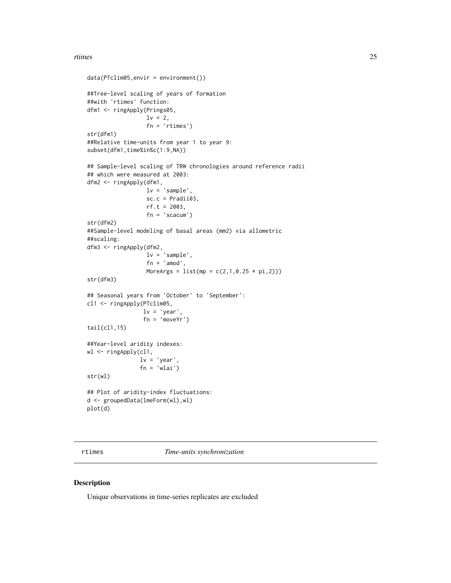#### <span id="page-24-0"></span>rtimes 25

```
data(PTclim05,envir = environment())
##Tree-level scaling of years of formation
##with 'rtimes' function:
dfm1 <- ringApply(Prings05,
                  lv = 2,fn = 'rtimes')
str(dfm1)
##Relative time-units from year 1 to year 9:
subset(dfm1,time%in%c(1:9,NA))
## Sample-level scaling of TRW chronologies around reference radii
## which were measured at 2003:
dfm2 <- ringApply(dfm1,
                  lv = 'sample',
                  sc.c = Pradii03,rf.t = 2003,
                  fn = 'scacum')
str(dfm2)
##Sample-level modeling of basal areas (mm2) via allometric
##scaling:
dfm3 <- ringApply(dfm2,
                  lv = 'sample',fn = 'amod',MoreArgs = list(mp = c(2,1,0.25 * pi,2)))str(dfm3)
## Seasonal years from 'October' to 'September':
cl1 <- ringApply(PTclim05,
                 lv = 'year',fn = 'moveYr')
tail(cl1,15)
##Year-level aridity indexes:
wl <- ringApply(cl1,
               lv = 'year',fn = 'wlai')str(wl)
## Plot of aridity-index fluctuations:
d <- groupedData(lmeForm(wl),wl)
plot(d)
```
<span id="page-24-1"></span>rtimes *Time-units synchronization*

# Description

Unique observations in time-series replicates are excluded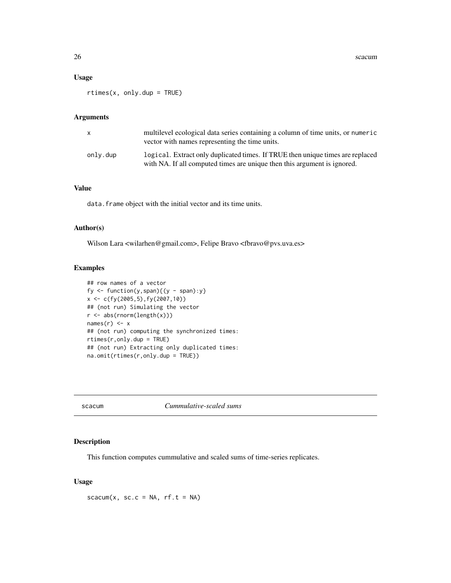#### <span id="page-25-0"></span>Usage

 $rtimes(x, only.dup = TRUE)$ 

# Arguments

|          | multilevel ecological data series containing a column of time units, or numeric<br>vector with names representing the time units.                          |
|----------|------------------------------------------------------------------------------------------------------------------------------------------------------------|
| only.dup | logical. Extract only duplicated times. If TRUE then unique times are replaced<br>with NA. If all computed times are unique then this argument is ignored. |

#### Value

data. frame object with the initial vector and its time units.

# Author(s)

Wilson Lara <wilarhen@gmail.com>, Felipe Bravo <fbravo@pvs.uva.es>

# Examples

```
## row names of a vector
fy \leftarrow function(y, span){(y - span):y}
x <- c(fy(2005,5),fy(2007,10))
## (not run) Simulating the vector
r <- abs(rnorm(length(x)))
names(r) <- x
## (not run) computing the synchronized times:
rtimes(r,only.dup = TRUE)
## (not run) Extracting only duplicated times:
na.omit(rtimes(r,only.dup = TRUE))
```
<span id="page-25-1"></span>scacum *Cummulative-scaled sums*

# Description

This function computes cummulative and scaled sums of time-series replicates.

# Usage

 $scacum(x, sc.c = NA, rf.t = NA)$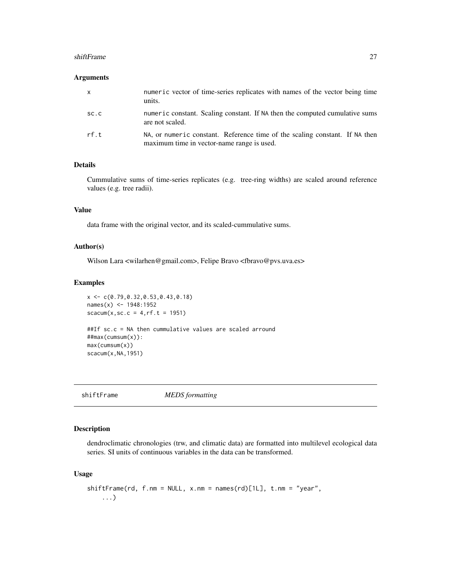#### <span id="page-26-0"></span>shiftFrame 27

#### Arguments

| $\mathsf{x}$ | numeric vector of time-series replicates with names of the vector being time<br>units.                                    |
|--------------|---------------------------------------------------------------------------------------------------------------------------|
| SC.C         | numeric constant. Scaling constant. If NA then the computed cumulative sums<br>are not scaled.                            |
| rf.t         | NA, or numeric constant. Reference time of the scaling constant. If NA then<br>maximum time in vector-name range is used. |

#### Details

Cummulative sums of time-series replicates (e.g. tree-ring widths) are scaled around reference values (e.g. tree radii).

# Value

data frame with the original vector, and its scaled-cummulative sums.

# Author(s)

Wilson Lara <wilarhen@gmail.com>, Felipe Bravo <fbravo@pvs.uva.es>

#### Examples

```
x \leq -c(0.79, 0.32, 0.53, 0.43, 0.18)names(x) < -1948:1952scacum(x, sc.c = 4, rf.t = 1951)##If sc.c = NA then cummulative values are scaled arround
##max(cumsum(x)):
max(cumsum(x))
scacum(x,NA,1951)
```
<span id="page-26-1"></span>shiftFrame *MEDS formatting*

# Description

dendroclimatic chronologies (trw, and climatic data) are formatted into multilevel ecological data series. SI units of continuous variables in the data can be transformed.

# Usage

```
shiftFrame(rd, f.nm = NULL, x.nm = names(rd)[1L], t.nm = "year",
    ...)
```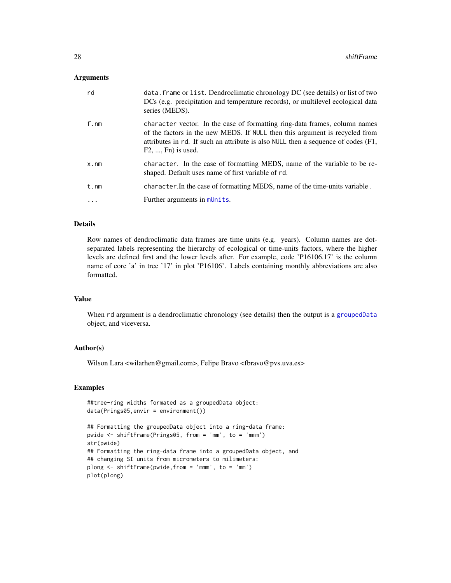#### <span id="page-27-0"></span>**Arguments**

| rd   | data. frame or list. Dendroclimatic chronology DC (see details) or list of two<br>DCs (e.g. precipitation and temperature records), or multilevel ecological data<br>series (MEDS).                                                                                            |
|------|--------------------------------------------------------------------------------------------------------------------------------------------------------------------------------------------------------------------------------------------------------------------------------|
| f.nm | character vector. In the case of formatting ring-data frames, column names<br>of the factors in the new MEDS. If NULL then this argument is recycled from<br>attributes in rd. If such an attribute is also NULL then a sequence of codes (F1,<br>$F2, \ldots$ , $Fn$ is used. |
| x.nm | character. In the case of formatting MEDS, name of the variable to be re-<br>shaped. Default uses name of first variable of rd.                                                                                                                                                |
| t.nm | character. In the case of formatting MEDS, name of the time-units variable.                                                                                                                                                                                                    |
|      | Further arguments in mUnits.                                                                                                                                                                                                                                                   |

# Details

Row names of dendroclimatic data frames are time units (e.g. years). Column names are dotseparated labels representing the hierarchy of ecological or time-units factors, where the higher levels are defined first and the lower levels after. For example, code 'P16106.17' is the column name of core 'a' in tree '17' in plot 'P16106'. Labels containing monthly abbreviations are also formatted.

# Value

When rd argument is a dendroclimatic chronology (see details) then the output is a [groupedData](#page-0-0) object, and viceversa.

# Author(s)

Wilson Lara <wilarhen@gmail.com>, Felipe Bravo <fbravo@pvs.uva.es>

```
##tree-ring widths formated as a groupedData object:
data(Prings05,envir = environment())
```

```
## Formatting the groupedData object into a ring-data frame:
pwide <- shiftFrame(Prings05, from = 'mm', to = 'mmm')
str(pwide)
## Formatting the ring-data frame into a groupedData object, and
## changing SI units from micrometers to milimeters:
plong <- shiftFrame(pwide,from = 'mmm', to = 'mm')
plot(plong)
```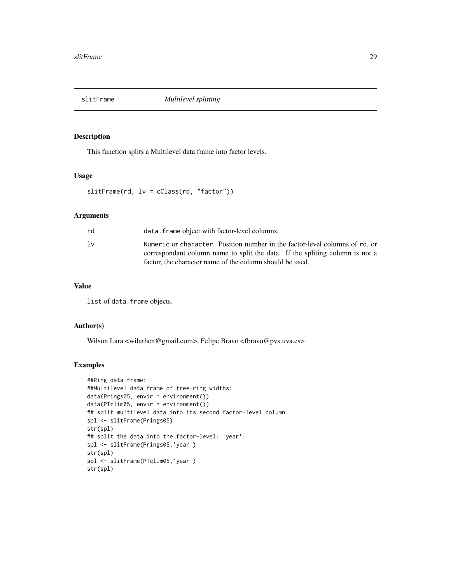<span id="page-28-0"></span>

# Description

This function splits a Multilevel data frame into factor levels.

# Usage

slitFrame(rd, lv = cClass(rd, "factor"))

# Arguments

| rd | data. frame object with factor-level columns.                                                                                                                                                                           |
|----|-------------------------------------------------------------------------------------------------------------------------------------------------------------------------------------------------------------------------|
| lν | Numeric or character. Position number in the factor-level columns of rd. or<br>correspondant column name to split the data. If the spliting column is not a<br>factor, the character name of the column should be used. |

# Value

list of data.frame objects.

#### Author(s)

Wilson Lara <wilarhen@gmail.com>, Felipe Bravo <fbravo@pvs.uva.es>

```
##Ring data frame:
##Multilevel data frame of tree-ring widths:
data(Prings05, envir = environment())
data(PTclim05, envir = environment())
## split multilevel data into its second factor-level column:
spl <- slitFrame(Prings05)
str(spl)
## split the data into the factor-level: 'year':
spl <- slitFrame(Prings05,'year')
str(spl)
spl <- slitFrame(PTclim05,'year')
str(spl)
```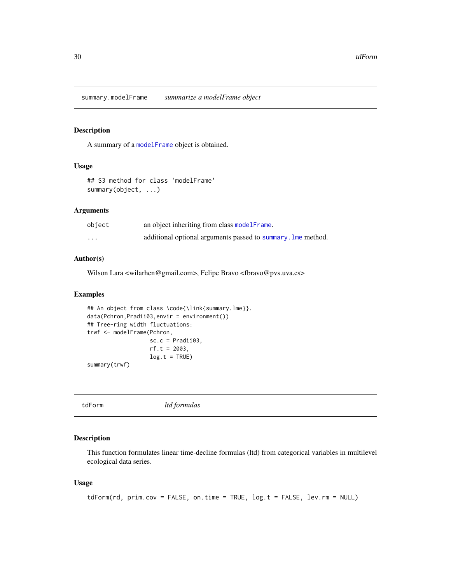<span id="page-29-0"></span>summary.modelFrame *summarize a modelFrame object*

# Description

A summary of a [modelFrame](#page-11-1) object is obtained.

# Usage

## S3 method for class 'modelFrame' summary(object, ...)

# Arguments

| object | an object inheriting from class modelFrame.                  |
|--------|--------------------------------------------------------------|
| .      | additional optional arguments passed to summary. Ime method. |

# Author(s)

Wilson Lara <wilarhen@gmail.com>, Felipe Bravo <fbravo@pvs.uva.es>

#### Examples

```
## An object from class \code{\link{summary.lme}}.
data(Pchron,Pradii03,envir = environment())
## Tree-ring width fluctuations:
trwf <- modelFrame(Pchron,
                  sc.c = Pradii03,rf.t = 2003,
                  log.t = TRUE)
```
summary(trwf)

<span id="page-29-1"></span>tdForm *ltd formulas*

# Description

This function formulates linear time-decline formulas (ltd) from categorical variables in multilevel ecological data series.

# Usage

```
tdForm(rd, prim.cov = FALSE, on.time = TRUE, log.t = FALSE, lev.rm = NULL)
```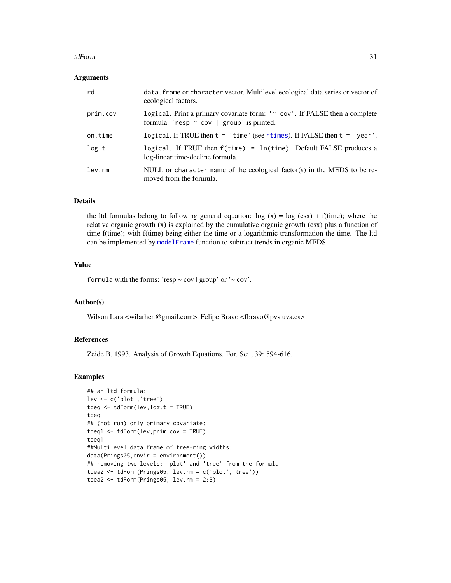#### <span id="page-30-0"></span>tdForm 31

#### Arguments

| rd       | data. frame or character vector. Multilevel ecological data series or vector of<br>ecological factors.                          |
|----------|---------------------------------------------------------------------------------------------------------------------------------|
| prim.cov | logical. Print a primary covariate form: '~ cov'. If FALSE then a complete<br>formula: ' $resp$ $\sim$ cov   group' is printed. |
| on.time  | logical. If TRUE then $t = 'time'$ (see rtimes). If FALSE then $t = 'year'.$                                                    |
| log.t    | logical. If TRUE then f(time) = ln(time). Default FALSE produces a<br>log-linear time-decline formula.                          |
| lev.rm   | NULL or character name of the ecological factor(s) in the MEDS to be re-<br>moved from the formula.                             |

#### Details

the ltd formulas belong to following general equation:  $log(x) = log (csx) + f$  (time); where the relative organic growth (x) is explained by the cumulative organic growth (csx) plus a function of time f(time); with f(time) being either the time or a logarithmic transformation the time. The ltd can be implemented by [modelFrame](#page-11-1) function to subtract trends in organic MEDS

# Value

formula with the forms: 'resp  $\sim$  cov | group' or ' $\sim$  cov'.

#### Author(s)

Wilson Lara <wilarhen@gmail.com>, Felipe Bravo <fbravo@pvs.uva.es>

# References

Zeide B. 1993. Analysis of Growth Equations. For. Sci., 39: 594-616.

```
## an ltd formula:
lev <- c('plot','tree')
tdeq <- tdForm(lev,log.t = TRUE)
tdeq
## (not run) only primary covariate:
tdeq1 <- tdForm(lev,prim.cov = TRUE)
tdeq1
##Multilevel data frame of tree-ring widths:
data(Prings05,envir = environment())
## removing two levels: 'plot' and 'tree' from the formula
tdea2 <- tdForm(Prings05, lev.rm = c('plot','tree'))
tdea2 <- tdForm(Prings05, lev.rm = 2:3)
```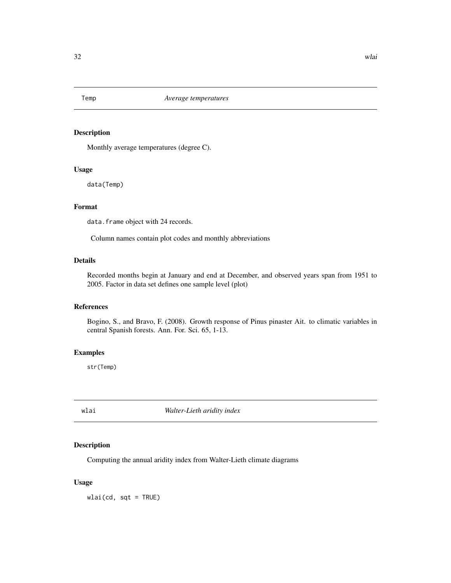<span id="page-31-0"></span>

# Description

Monthly average temperatures (degree C).

# Usage

data(Temp)

# Format

data.frame object with 24 records.

Column names contain plot codes and monthly abbreviations

# Details

Recorded months begin at January and end at December, and observed years span from 1951 to 2005. Factor in data set defines one sample level (plot)

#### References

Bogino, S., and Bravo, F. (2008). Growth response of Pinus pinaster Ait. to climatic variables in central Spanish forests. Ann. For. Sci. 65, 1-13.

# Examples

str(Temp)

<span id="page-31-1"></span>

wlai *Walter-Lieth aridity index*

# Description

Computing the annual aridity index from Walter-Lieth climate diagrams

# Usage

wlai(cd, sqt = TRUE)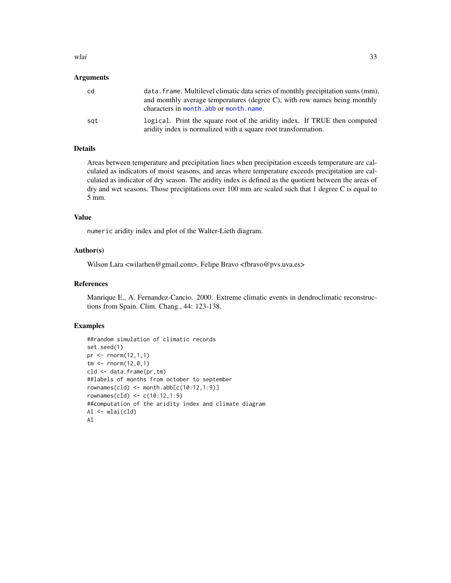<span id="page-32-0"></span>wlai 23

#### Arguments

| cd  | data. frame. Multilevel climatic data series of monthly precipitation sums (mm),<br>and monthly average temperatures (degree C), with row names being monthly<br>characters in month, abb or month, name. |
|-----|-----------------------------------------------------------------------------------------------------------------------------------------------------------------------------------------------------------|
| sat | logical. Print the square root of the aridity index. If TRUE then computed<br>aridity index is normalized with a square root transformation.                                                              |

# Details

Areas between temperature and precipitation lines when precipitation exceeds temperature are calculated as indicators of moist seasons, and areas where temperature exceeds precipitation are calculated as indicator of dry season. The aridity index is defined as the quotient between the areas of dry and wet seasons. Those precipitations over 100 mm are scaled such that 1 degree C is equal to 5 mm.

#### Value

numeric aridity index and plot of the Walter-Lieth diagram.

# Author(s)

Wilson Lara <wilarhen@gmail.com>, Felipe Bravo <fbravo@pvs.uva.es>

# References

Manrique E., A. Fernandez-Cancio. 2000. Extreme climatic events in dendroclimatic reconstructions from Spain. Clim. Chang., 44: 123-138.

```
##random simulation of climatic records
set.seed(1)
pr <- rnorm(12,1,1)
tm < -rnorm(12, 0, 1)cld <- data.frame(pr,tm)
##labels of months from october to september
rownames(cld) \leftarrow month.abb[c(10:12,1:9)]rownames(cld) <- c(10:12,1:9)
##computation of the aridity index and climate diagram
AI <- wlai(cld)
AI
```